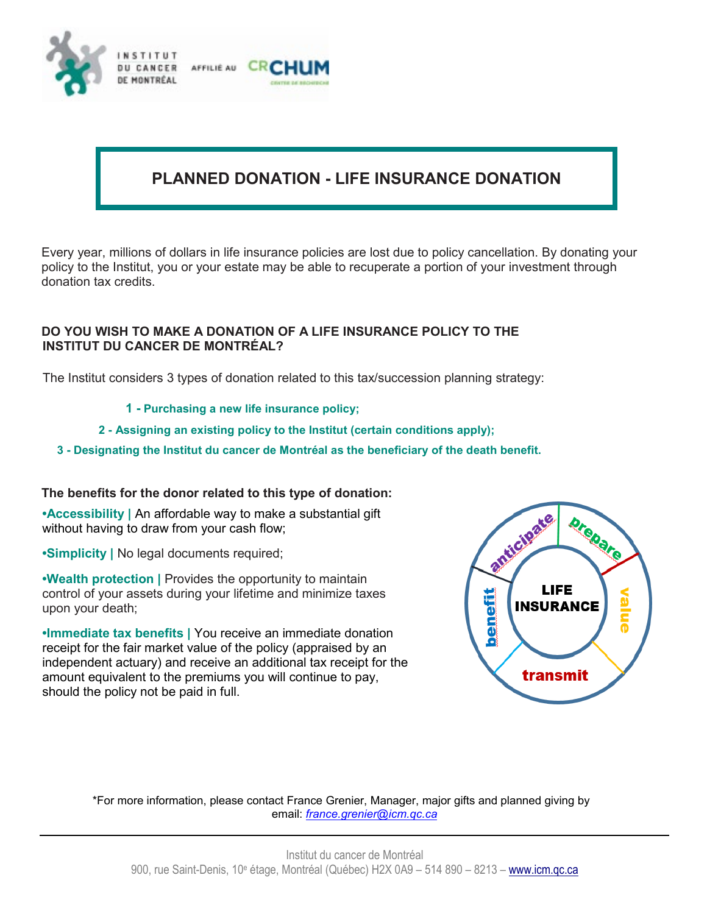

# **PLANNED DONATION - LIFE INSURANCE DONATION**

Every year, millions of dollars in life insurance policies are lost due to policy cancellation. By donating your policy to the Institut, you or your estate may be able to recuperate a portion of your investment through donation tax credits.

## **DO YOU WISH TO MAKE A DONATION OF A LIFE INSURANCE POLICY TO THE INSTITUT DU CANCER DE MONTRÉAL?**

The Institut considers 3 types of donation related to this tax/succession planning strategy:

- **1 - Purchasing a new life insurance policy;**
- **2 Assigning an existing policy to the Institut (certain conditions apply);**
- **3 Designating the Institut du cancer de Montréal as the beneficiary of the death benefit.**

#### **The benefits for the donor related to this type of donation:**

**•Accessibility |** An affordable way to make a substantial gift without having to draw from your cash flow;

**•Simplicity |** No legal documents required;

**•Wealth protection |** Provides the opportunity to maintain control of your assets during your lifetime and minimize taxes upon your death;

**•Immediate tax benefits |** You receive an immediate donation receipt for the fair market value of the policy (appraised by an independent actuary) and receive an additional tax receipt for the amount equivalent to the premiums you will continue to pay, should the policy not be paid in full.



\*For more information, please contact France Grenier, Manager, major gifts and planned giving by email: *[france.grenier@icm.qc.ca](mailto:france.grenier@icm.qc.ca)*